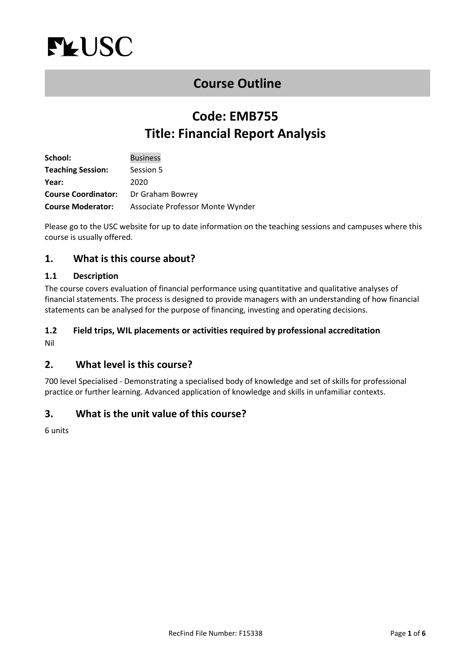<span id="page-0-0"></span>

## **[Course Outline](#page-0-0)**

# **Code: EMB755 Title: Financial Report Analysis**

| School:                    | <b>Business</b>                  |
|----------------------------|----------------------------------|
| <b>Teaching Session:</b>   | Session 5                        |
| Year:                      | 2020                             |
| <b>Course Coordinator:</b> | Dr Graham Bowrey                 |
| <b>Course Moderator:</b>   | Associate Professor Monte Wynder |

Please go to the USC website for up to date information on the teaching sessions and campuses where this course is usually offered.

## **1. What is this course about?**

#### **1.1 Description**

The course covers evaluation of financial performance using quantitative and qualitative analyses of financial statements. The process is designed to provide managers with an understanding of how financial statements can be analysed for the purpose of financing, investing and operating decisions.

# **1.2 Field trips, WIL placements or activities required by professional accreditation**

Nil

## **2. What level is this course?**

700 level Specialised - Demonstrating a specialised body of knowledge and set of skills for professional practice or further learning. Advanced application of knowledge and skills in unfamiliar contexts.

## **3. What is the unit value of this course?**

6 units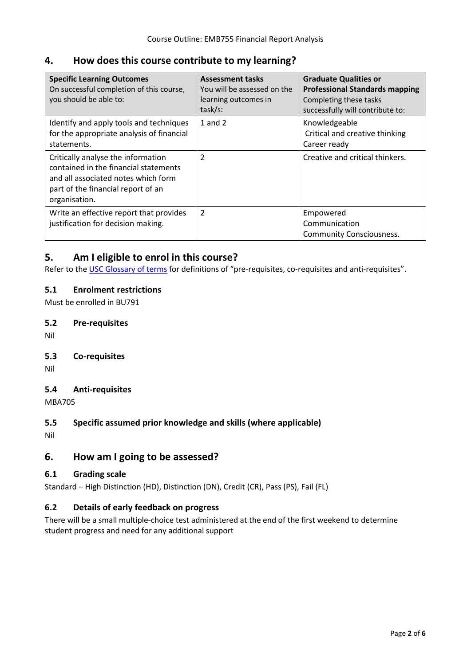## **4. How does this course contribute to my learning?**

| <b>Specific Learning Outcomes</b><br>On successful completion of this course,<br>you should be able to:                                                                   | <b>Assessment tasks</b><br>You will be assessed on the<br>learning outcomes in<br>task/s: | <b>Graduate Qualities or</b><br><b>Professional Standards mapping</b><br>Completing these tasks<br>successfully will contribute to: |
|---------------------------------------------------------------------------------------------------------------------------------------------------------------------------|-------------------------------------------------------------------------------------------|-------------------------------------------------------------------------------------------------------------------------------------|
| Identify and apply tools and techniques<br>for the appropriate analysis of financial<br>statements.                                                                       | 1 and $2$                                                                                 | Knowledgeable<br>Critical and creative thinking<br>Career ready                                                                     |
| Critically analyse the information<br>contained in the financial statements<br>and all associated notes which form<br>part of the financial report of an<br>organisation. | $\overline{2}$                                                                            | Creative and critical thinkers.                                                                                                     |
| Write an effective report that provides<br>justification for decision making.                                                                                             | $\overline{2}$                                                                            | Empowered<br>Communication<br><b>Community Consciousness.</b>                                                                       |

## **5. Am I eligible to enrol in this course?**

Refer to th[e USC Glossary of terms](http://www.usc.edu.au/learn/the-usc-experience/study-locations/study-at-caboolture/glossary-of-terms) for definitions of "pre-requisites, co-requisites and anti-requisites".

#### **5.1 Enrolment restrictions**

Must be enrolled in BU791

#### **5.2 Pre-requisites**

Nil

#### **5.3 Co-requisites**

Nil

#### **5.4 Anti-requisites**

MBA705

#### **5.5 Specific assumed prior knowledge and skills (where applicable)**

Nil

## **6. How am I going to be assessed?**

#### **6.1 Grading scale**

Standard – High Distinction (HD), Distinction (DN), Credit (CR), Pass (PS), Fail (FL)

#### **6.2 Details of early feedback on progress**

There will be a small multiple-choice test administered at the end of the first weekend to determine student progress and need for any additional support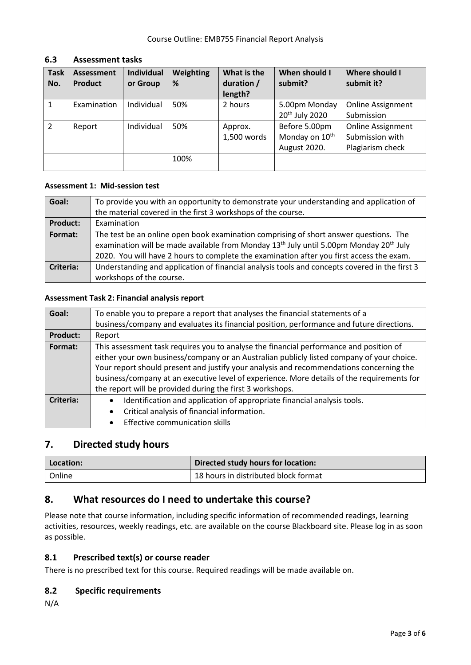| <b>Task</b><br>No. | <b>Assessment</b><br><b>Product</b> | <b>Individual</b><br>or Group | Weighting<br>% | What is the<br>duration /<br>length? | When should I<br>submit?                                    | Where should I<br>submit it?                                    |
|--------------------|-------------------------------------|-------------------------------|----------------|--------------------------------------|-------------------------------------------------------------|-----------------------------------------------------------------|
|                    | Examination                         | Individual                    | 50%            | 2 hours                              | 5.00pm Monday<br>20 <sup>th</sup> July 2020                 | <b>Online Assignment</b><br>Submission                          |
| $\overline{2}$     | Report                              | Individual                    | 50%            | Approx.<br>1,500 words               | Before 5.00pm<br>Monday on 10 <sup>th</sup><br>August 2020. | <b>Online Assignment</b><br>Submission with<br>Plagiarism check |
|                    |                                     |                               | 100%           |                                      |                                                             |                                                                 |

## **6.3 Assessment tasks**

#### **Assessment 1: Mid-session test**

| Goal:            | To provide you with an opportunity to demonstrate your understanding and application of                        |
|------------------|----------------------------------------------------------------------------------------------------------------|
|                  | the material covered in the first 3 workshops of the course.                                                   |
| <b>Product:</b>  | Examination                                                                                                    |
| Format:          | The test be an online open book examination comprising of short answer questions. The                          |
|                  | examination will be made available from Monday 13 <sup>th</sup> July until 5.00pm Monday 20 <sup>th</sup> July |
|                  | 2020. You will have 2 hours to complete the examination after you first access the exam.                       |
| <b>Criteria:</b> | Understanding and application of financial analysis tools and concepts covered in the first 3                  |
|                  | workshops of the course.                                                                                       |

#### **Assessment Task 2: Financial analysis report**

| Goal:            | To enable you to prepare a report that analyses the financial statements of a              |  |  |  |
|------------------|--------------------------------------------------------------------------------------------|--|--|--|
|                  | business/company and evaluates its financial position, performance and future directions.  |  |  |  |
| <b>Product:</b>  | Report                                                                                     |  |  |  |
| Format:          | This assessment task requires you to analyse the financial performance and position of     |  |  |  |
|                  | either your own business/company or an Australian publicly listed company of your choice.  |  |  |  |
|                  | Your report should present and justify your analysis and recommendations concerning the    |  |  |  |
|                  | business/company at an executive level of experience. More details of the requirements for |  |  |  |
|                  | the report will be provided during the first 3 workshops.                                  |  |  |  |
| <b>Criteria:</b> | Identification and application of appropriate financial analysis tools.<br>٠               |  |  |  |
|                  | Critical analysis of financial information.<br>$\bullet$                                   |  |  |  |
|                  | Effective communication skills                                                             |  |  |  |

## **7. Directed study hours**

| 'Location: | Directed study hours for location:   |  |
|------------|--------------------------------------|--|
| Online     | 18 hours in distributed block format |  |

## **8. What resources do I need to undertake this course?**

Please note that course information, including specific information of recommended readings, learning activities, resources, weekly readings, etc. are available on the course Blackboard site. Please log in as soon as possible.

## **8.1 Prescribed text(s) or course reader**

There is no prescribed text for this course. Required readings will be made available on.

#### **8.2 Specific requirements**

N/A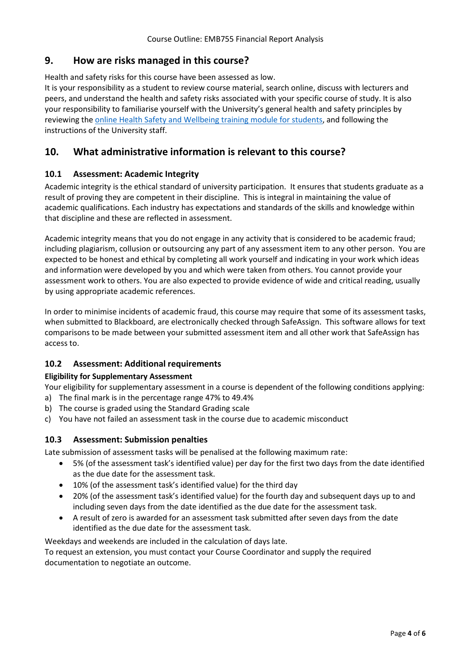## **9. How are risks managed in this course?**

Health and safety risks for this course have been assessed as low.

It is your responsibility as a student to review course material, search online, discuss with lecturers and peers, and understand the health and safety risks associated with your specific course of study. It is also your responsibility to familiarise yourself with the University's general health and safety principles by reviewing the [online Health Safety and Wellbeing training](https://online.usc.edu.au/webapps/blackboard/content/listContentEditable.jsp?content_id=_632657_1&course_id=_14432_1) module for students, and following the instructions of the University staff.

## **10. What administrative information is relevant to this course?**

#### **10.1 Assessment: Academic Integrity**

Academic integrity is the ethical standard of university participation. It ensures that students graduate as a result of proving they are competent in their discipline. This is integral in maintaining the value of academic qualifications. Each industry has expectations and standards of the skills and knowledge within that discipline and these are reflected in assessment.

Academic integrity means that you do not engage in any activity that is considered to be academic fraud; including plagiarism, collusion or outsourcing any part of any assessment item to any other person. You are expected to be honest and ethical by completing all work yourself and indicating in your work which ideas and information were developed by you and which were taken from others. You cannot provide your assessment work to others. You are also expected to provide evidence of wide and critical reading, usually by using appropriate academic references.

In order to minimise incidents of academic fraud, this course may require that some of its assessment tasks, when submitted to Blackboard, are electronically checked through SafeAssign. This software allows for text comparisons to be made between your submitted assessment item and all other work that SafeAssign has access to.

#### **10.2 Assessment: Additional requirements**

#### **Eligibility for Supplementary Assessment**

Your eligibility for supplementary assessment in a course is dependent of the following conditions applying: a) The final mark is in the percentage range 47% to 49.4%

- b) The course is graded using the Standard Grading scale
- c) You have not failed an assessment task in the course due to academic misconduct

#### **10.3 Assessment: Submission penalties**

Late submission of assessment tasks will be penalised at the following maximum rate:

- 5% (of the assessment task's identified value) per day for the first two days from the date identified as the due date for the assessment task.
- 10% (of the assessment task's identified value) for the third day
- 20% (of the assessment task's identified value) for the fourth day and subsequent days up to and including seven days from the date identified as the due date for the assessment task.
- A result of zero is awarded for an assessment task submitted after seven days from the date identified as the due date for the assessment task.

Weekdays and weekends are included in the calculation of days late.

To request an extension, you must contact your Course Coordinator and supply the required documentation to negotiate an outcome.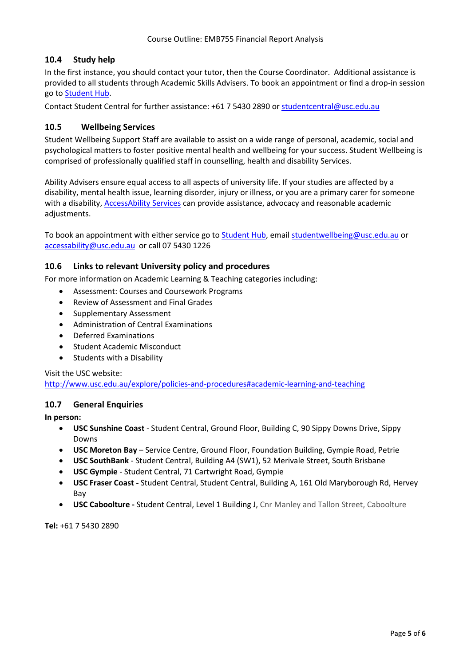#### **10.4 Study help**

In the first instance, you should contact your tutor, then the Course Coordinator. Additional assistance is provided to all students through Academic Skills Advisers. To book an appointment or find a drop-in session go to [Student](https://studenthub.usc.edu.au/) Hub.

Contact Student Central for further assistance: +61 7 5430 2890 or [studentcentral@usc.edu.au](mailto:studentcentral@usc.edu.au)

#### **10.5 Wellbeing Services**

Student Wellbeing Support Staff are available to assist on a wide range of personal, academic, social and psychological matters to foster positive mental health and wellbeing for your success. Student Wellbeing is comprised of professionally qualified staff in counselling, health and disability Services.

Ability Advisers ensure equal access to all aspects of university life. If your studies are affected by a disability, mental health issue, learning disorder, injury or illness, or you are a primary carer for someone with a disability, [AccessAbility Services](https://www.usc.edu.au/learn/student-support/accessability-services/documentation-requirements) can provide assistance, advocacy and reasonable academic adjustments.

To book an appointment with either service go to [Student Hub,](https://studenthub.usc.edu.au/students/login?ReturnUrl=%2f) email [studentwellbeing@usc.edu.au](mailto:studentwellbeing@usc.edu.au) or [accessability@usc.edu.au](mailto:accessability@usc.edu.au) or call 07 5430 1226

#### **10.6 Links to relevant University policy and procedures**

For more information on Academic Learning & Teaching categories including:

- Assessment: Courses and Coursework Programs
- Review of Assessment and Final Grades
- Supplementary Assessment
- Administration of Central Examinations
- Deferred Examinations
- Student Academic Misconduct
- Students with a Disability

#### Visit the USC website: <http://www.usc.edu.au/explore/policies-and-procedures#academic-learning-and-teaching>

#### **10.7 General Enquiries**

**In person:**

- **USC Sunshine Coast** Student Central, Ground Floor, Building C, 90 Sippy Downs Drive, Sippy Downs
- **USC Moreton Bay** Service Centre, Ground Floor, Foundation Building, Gympie Road, Petrie
- **USC SouthBank** Student Central, Building A4 (SW1), 52 Merivale Street, South Brisbane
- **USC Gympie** Student Central, 71 Cartwright Road, Gympie
- **USC Fraser Coast -** Student Central, Student Central, Building A, 161 Old Maryborough Rd, Hervey Bay
- **USC Caboolture -** Student Central, Level 1 Building J, Cnr Manley and Tallon Street, Caboolture

**Tel:** +61 7 5430 2890